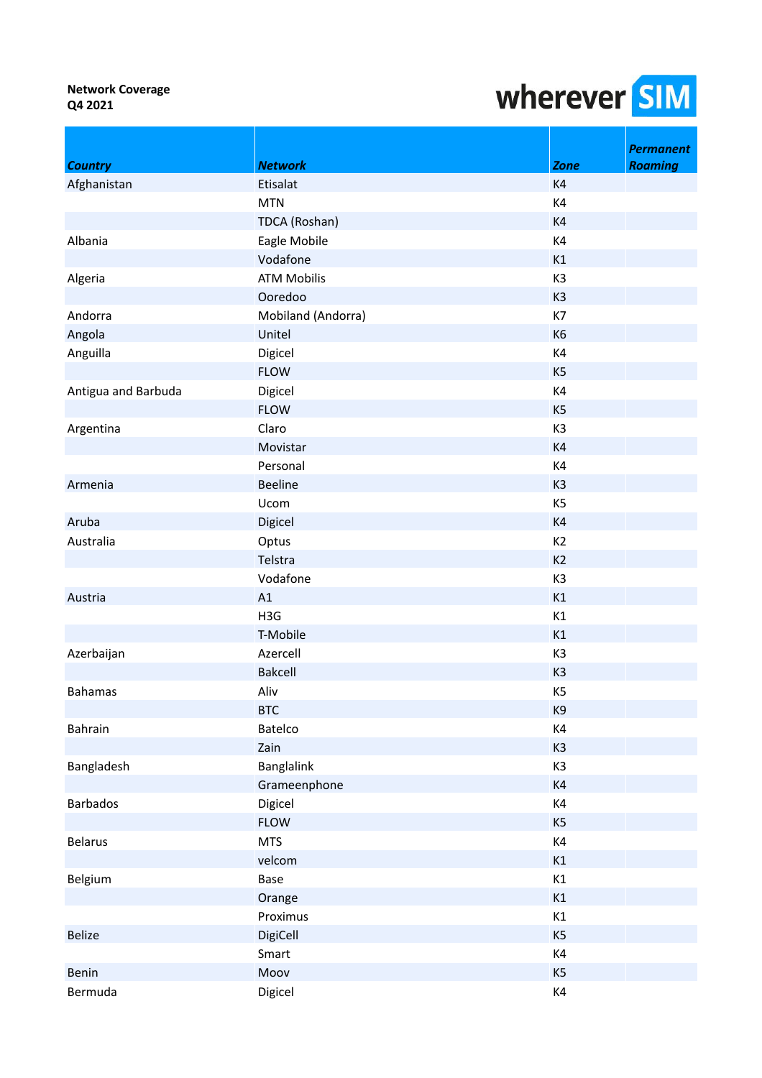|                     |                    |                | <b>Permanent</b> |
|---------------------|--------------------|----------------|------------------|
| <b>Country</b>      | <b>Network</b>     | <b>Zone</b>    | <b>Roaming</b>   |
| Afghanistan         | Etisalat           | K <sub>4</sub> |                  |
|                     | <b>MTN</b>         | K4             |                  |
|                     | TDCA (Roshan)      | K4             |                  |
| Albania             | Eagle Mobile       | K4             |                  |
|                     | Vodafone           | K1             |                  |
| Algeria             | <b>ATM Mobilis</b> | K3             |                  |
|                     | Ooredoo            | K <sub>3</sub> |                  |
| Andorra             | Mobiland (Andorra) | K7             |                  |
| Angola              | Unitel             | K <sub>6</sub> |                  |
| Anguilla            | Digicel            | K4             |                  |
|                     | <b>FLOW</b>        | K <sub>5</sub> |                  |
| Antigua and Barbuda | Digicel            | K4             |                  |
|                     | <b>FLOW</b>        | K <sub>5</sub> |                  |
| Argentina           | Claro              | K3             |                  |
|                     | Movistar           | K4             |                  |
|                     | Personal           | K4             |                  |
| Armenia             | <b>Beeline</b>     | K <sub>3</sub> |                  |
|                     | Ucom               | K <sub>5</sub> |                  |
| Aruba               | Digicel            | K4             |                  |
| Australia           | Optus              | K2             |                  |
|                     | Telstra            | K <sub>2</sub> |                  |
|                     | Vodafone           | K3             |                  |
| Austria             | A1                 | K1             |                  |
|                     | H3G                | K1             |                  |
|                     | T-Mobile           | K1             |                  |
| Azerbaijan          | Azercell           | K3             |                  |
|                     | <b>Bakcell</b>     | K <sub>3</sub> |                  |
| <b>Bahamas</b>      | Aliv               | K <sub>5</sub> |                  |
|                     | <b>BTC</b>         | K9             |                  |
| Bahrain             | Batelco            | K4             |                  |
|                     | Zain               | K <sub>3</sub> |                  |
| Bangladesh          | <b>Banglalink</b>  | K3             |                  |
|                     | Grameenphone       | K4             |                  |
| <b>Barbados</b>     | Digicel            | K4             |                  |
|                     | <b>FLOW</b>        | K <sub>5</sub> |                  |
| <b>Belarus</b>      | <b>MTS</b>         | K4             |                  |
|                     | velcom             | K1             |                  |
| Belgium             | Base               | K1             |                  |
|                     | Orange             | K1             |                  |
|                     | Proximus           | K1             |                  |
| <b>Belize</b>       | DigiCell           | K <sub>5</sub> |                  |
|                     | Smart              | K4             |                  |
| Benin               | Moov               | K <sub>5</sub> |                  |
| Bermuda             | Digicel            | K4             |                  |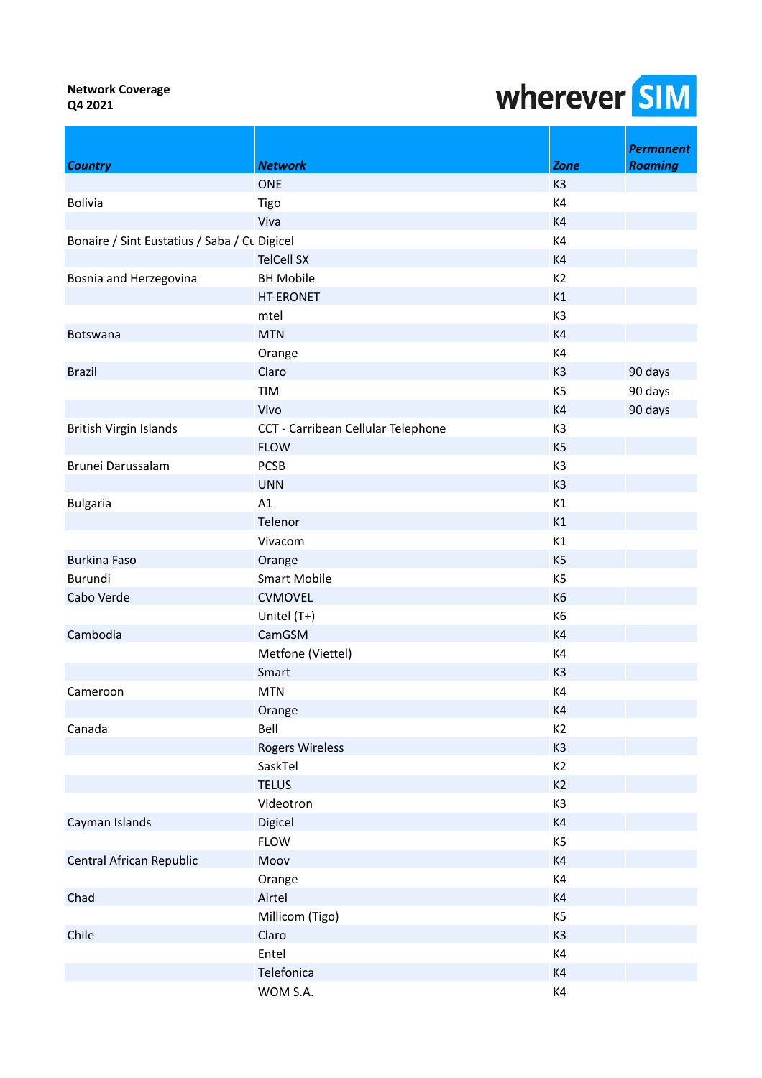|                                              |                                    |                | <b>Permanent</b> |
|----------------------------------------------|------------------------------------|----------------|------------------|
| <b>Country</b>                               | <b>Network</b>                     | <b>Zone</b>    | <b>Roaming</b>   |
|                                              | <b>ONE</b>                         | K <sub>3</sub> |                  |
| <b>Bolivia</b>                               | Tigo                               | K4             |                  |
|                                              | Viva                               | K4             |                  |
| Bonaire / Sint Eustatius / Saba / Cu Digicel |                                    | K4             |                  |
|                                              | <b>TelCell SX</b>                  | K4             |                  |
| Bosnia and Herzegovina                       | <b>BH Mobile</b>                   | K2             |                  |
|                                              | <b>HT-ERONET</b>                   | K1             |                  |
|                                              | mtel                               | K3             |                  |
| Botswana                                     | <b>MTN</b>                         | K4             |                  |
|                                              | Orange                             | K4             |                  |
| <b>Brazil</b>                                | Claro                              | K <sub>3</sub> | 90 days          |
|                                              | TIM                                | K <sub>5</sub> | 90 days          |
|                                              | Vivo                               | K <sub>4</sub> | 90 days          |
| British Virgin Islands                       | CCT - Carribean Cellular Telephone | K <sub>3</sub> |                  |
|                                              | <b>FLOW</b>                        | K <sub>5</sub> |                  |
| Brunei Darussalam                            | <b>PCSB</b>                        | K <sub>3</sub> |                  |
|                                              | <b>UNN</b>                         | K <sub>3</sub> |                  |
| <b>Bulgaria</b>                              | A1                                 | K1             |                  |
|                                              | Telenor                            | K1             |                  |
|                                              | Vivacom                            | K1             |                  |
| <b>Burkina Faso</b>                          | Orange                             | K <sub>5</sub> |                  |
| Burundi                                      | <b>Smart Mobile</b>                | K <sub>5</sub> |                  |
| Cabo Verde                                   | <b>CVMOVEL</b>                     | K <sub>6</sub> |                  |
|                                              | Unitel (T+)                        | K6             |                  |
| Cambodia                                     | CamGSM                             | K4             |                  |
|                                              | Metfone (Viettel)                  | K4             |                  |
|                                              | Smart                              | K <sub>3</sub> |                  |
| Cameroon                                     | <b>MTN</b>                         | K4             |                  |
|                                              | Orange                             | K4             |                  |
| Canada                                       | Bell                               | K <sub>2</sub> |                  |
|                                              | <b>Rogers Wireless</b>             | K <sub>3</sub> |                  |
|                                              | SaskTel                            | K <sub>2</sub> |                  |
|                                              | <b>TELUS</b>                       | K2             |                  |
|                                              | Videotron                          | K3             |                  |
| Cayman Islands                               | Digicel                            | K4             |                  |
|                                              | <b>FLOW</b>                        | K <sub>5</sub> |                  |
| Central African Republic                     | Moov                               | K4             |                  |
|                                              | Orange                             | K4             |                  |
| Chad                                         | Airtel                             | K4             |                  |
|                                              | Millicom (Tigo)                    | K <sub>5</sub> |                  |
| Chile                                        | Claro                              | K <sub>3</sub> |                  |
|                                              | Entel                              | K4             |                  |
|                                              | Telefonica                         | K4             |                  |
|                                              | WOM S.A.                           | K4             |                  |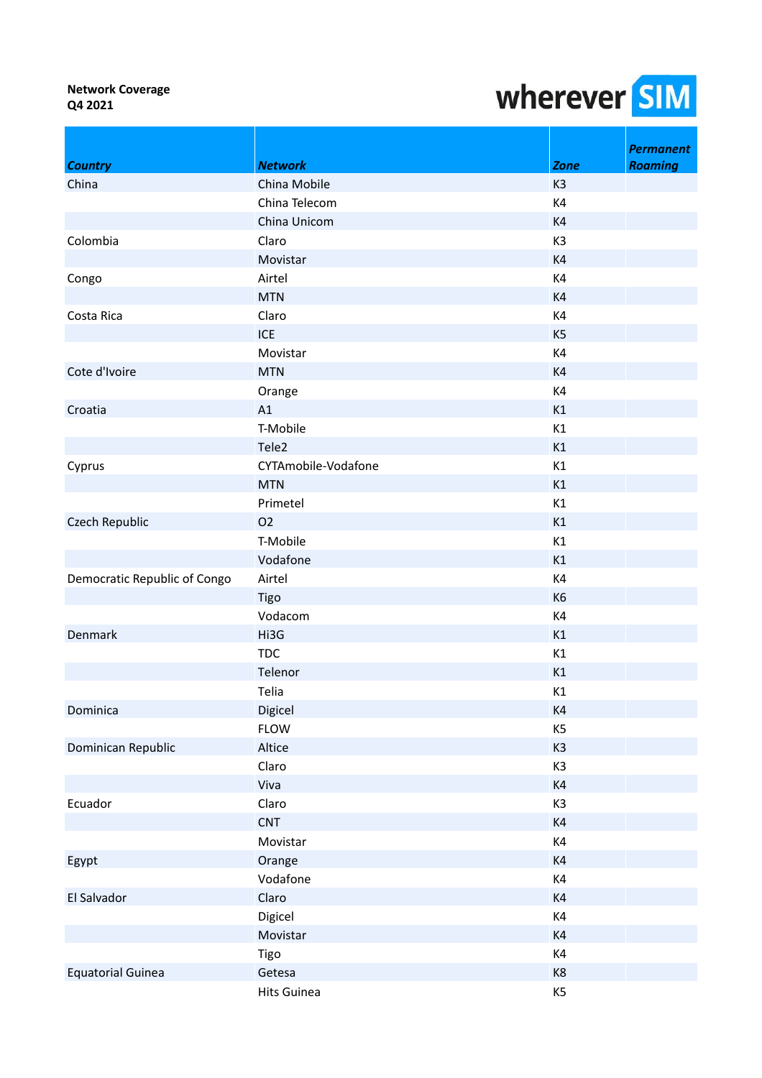| <b>Country</b>               | <b>Network</b>      | <b>Zone</b>    | <b>Permanent</b><br><b>Roaming</b> |
|------------------------------|---------------------|----------------|------------------------------------|
| China                        | China Mobile        | K <sub>3</sub> |                                    |
|                              | China Telecom       | K4             |                                    |
|                              | China Unicom        | K4             |                                    |
| Colombia                     | Claro               | K3             |                                    |
|                              | Movistar            | K4             |                                    |
| Congo                        | Airtel              | K4             |                                    |
|                              | <b>MTN</b>          | K4             |                                    |
| Costa Rica                   | Claro               | K4             |                                    |
|                              | <b>ICE</b>          | K <sub>5</sub> |                                    |
|                              | Movistar            | K4             |                                    |
| Cote d'Ivoire                | <b>MTN</b>          | K4             |                                    |
|                              | Orange              | K4             |                                    |
| Croatia                      | A1                  | K1             |                                    |
|                              | T-Mobile            | K1             |                                    |
|                              | Tele2               | K1             |                                    |
| Cyprus                       | CYTAmobile-Vodafone | K1             |                                    |
|                              | <b>MTN</b>          | K1             |                                    |
|                              | Primetel            | K1             |                                    |
| Czech Republic               | <b>O2</b>           | K1             |                                    |
|                              | T-Mobile            | K1             |                                    |
|                              | Vodafone            | K1             |                                    |
| Democratic Republic of Congo | Airtel              | K4             |                                    |
|                              | Tigo                | K <sub>6</sub> |                                    |
|                              | Vodacom             | K4             |                                    |
| Denmark                      | Hi3G                | K1             |                                    |
|                              | <b>TDC</b>          | K1             |                                    |
|                              | Telenor             | K1             |                                    |
|                              | Telia               | K1             |                                    |
| Dominica                     | Digicel             | K4             |                                    |
|                              | <b>FLOW</b>         | K <sub>5</sub> |                                    |
| Dominican Republic           | Altice              | K <sub>3</sub> |                                    |
|                              | Claro               | K3             |                                    |
|                              | Viva                | K4             |                                    |
| Ecuador                      | Claro               | K3             |                                    |
|                              | <b>CNT</b>          | K4             |                                    |
|                              | Movistar            | K4             |                                    |
| Egypt                        | Orange              | K4             |                                    |
|                              | Vodafone            | K4             |                                    |
| El Salvador                  | Claro               | K4             |                                    |
|                              | Digicel             | K4             |                                    |
|                              | Movistar            | K4             |                                    |
|                              | Tigo                | K4             |                                    |
| <b>Equatorial Guinea</b>     | Getesa              | K8             |                                    |
|                              | <b>Hits Guinea</b>  | K <sub>5</sub> |                                    |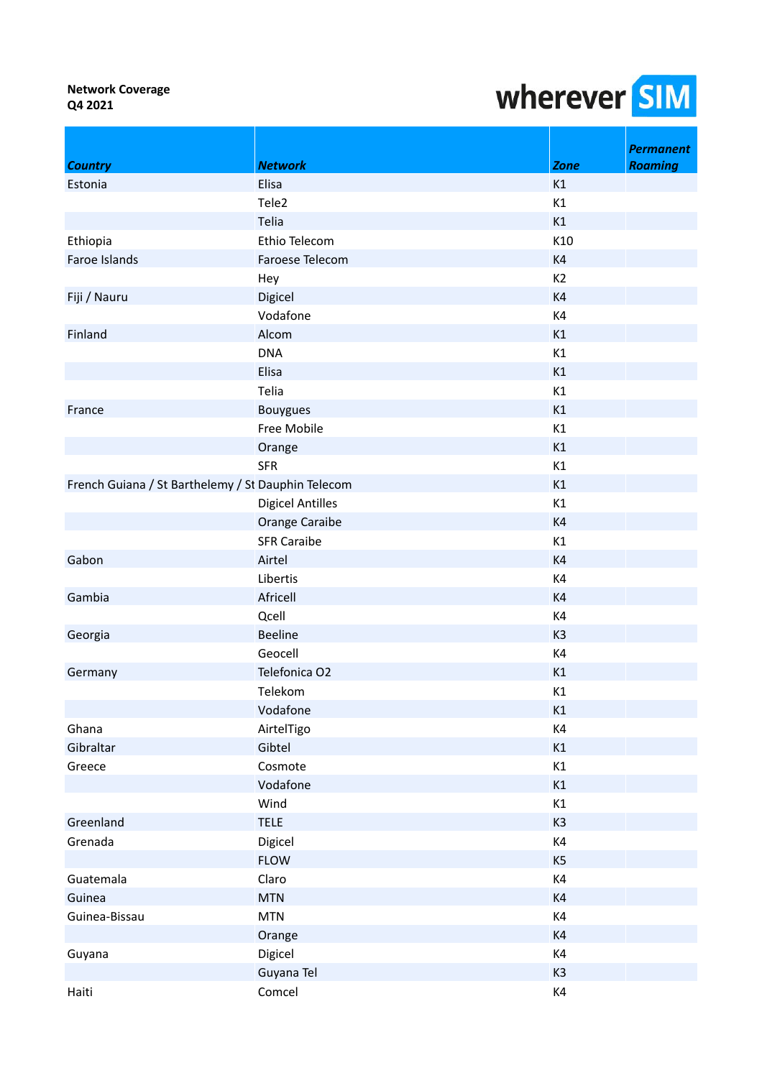|                                                    |                         |                | <b>Permanent</b> |
|----------------------------------------------------|-------------------------|----------------|------------------|
| <b>Country</b>                                     | <b>Network</b>          | <b>Zone</b>    | <b>Roaming</b>   |
| Estonia                                            | Elisa                   | K1             |                  |
|                                                    | Tele2                   | K1             |                  |
|                                                    | Telia                   | K1             |                  |
| Ethiopia                                           | Ethio Telecom           | K10            |                  |
| Faroe Islands                                      | Faroese Telecom         | K4             |                  |
|                                                    | Hey                     | K <sub>2</sub> |                  |
| Fiji / Nauru                                       | Digicel                 | K4             |                  |
|                                                    | Vodafone                | K4             |                  |
| Finland                                            | Alcom                   | K1             |                  |
|                                                    | <b>DNA</b>              | K1             |                  |
|                                                    | Elisa                   | K1             |                  |
|                                                    | Telia                   | K1             |                  |
| France                                             | <b>Bouygues</b>         | K1             |                  |
|                                                    | Free Mobile             | K1             |                  |
|                                                    | Orange                  | K1             |                  |
|                                                    | <b>SFR</b>              | K1             |                  |
| French Guiana / St Barthelemy / St Dauphin Telecom |                         | K1             |                  |
|                                                    | <b>Digicel Antilles</b> | K1             |                  |
|                                                    | Orange Caraibe          | K4             |                  |
|                                                    | <b>SFR Caraibe</b>      | K1             |                  |
| Gabon                                              | Airtel                  | K4             |                  |
|                                                    | Libertis                | K4             |                  |
| Gambia                                             | Africell                | K <sub>4</sub> |                  |
|                                                    | Qcell                   | K4             |                  |
| Georgia                                            | <b>Beeline</b>          | K <sub>3</sub> |                  |
|                                                    | Geocell                 | K4             |                  |
| Germany                                            | Telefonica O2           | K1             |                  |
|                                                    | Telekom                 | K1             |                  |
|                                                    | Vodafone                | K1             |                  |
| Ghana                                              | AirtelTigo              | K4             |                  |
| Gibraltar                                          | Gibtel                  | K1             |                  |
| Greece                                             | Cosmote                 | K1             |                  |
|                                                    | Vodafone                | K1             |                  |
|                                                    | Wind                    | K1             |                  |
| Greenland                                          | <b>TELE</b>             | K <sub>3</sub> |                  |
| Grenada                                            | Digicel                 | K4             |                  |
|                                                    | <b>FLOW</b>             | K <sub>5</sub> |                  |
| Guatemala                                          | Claro                   | K4             |                  |
| Guinea                                             | <b>MTN</b>              | K4             |                  |
| Guinea-Bissau                                      | <b>MTN</b>              | K4             |                  |
|                                                    | Orange                  | K4             |                  |
| Guyana                                             | Digicel                 | K4             |                  |
|                                                    | Guyana Tel              | K <sub>3</sub> |                  |
| Haiti                                              | Comcel                  | $\mathsf{K}4$  |                  |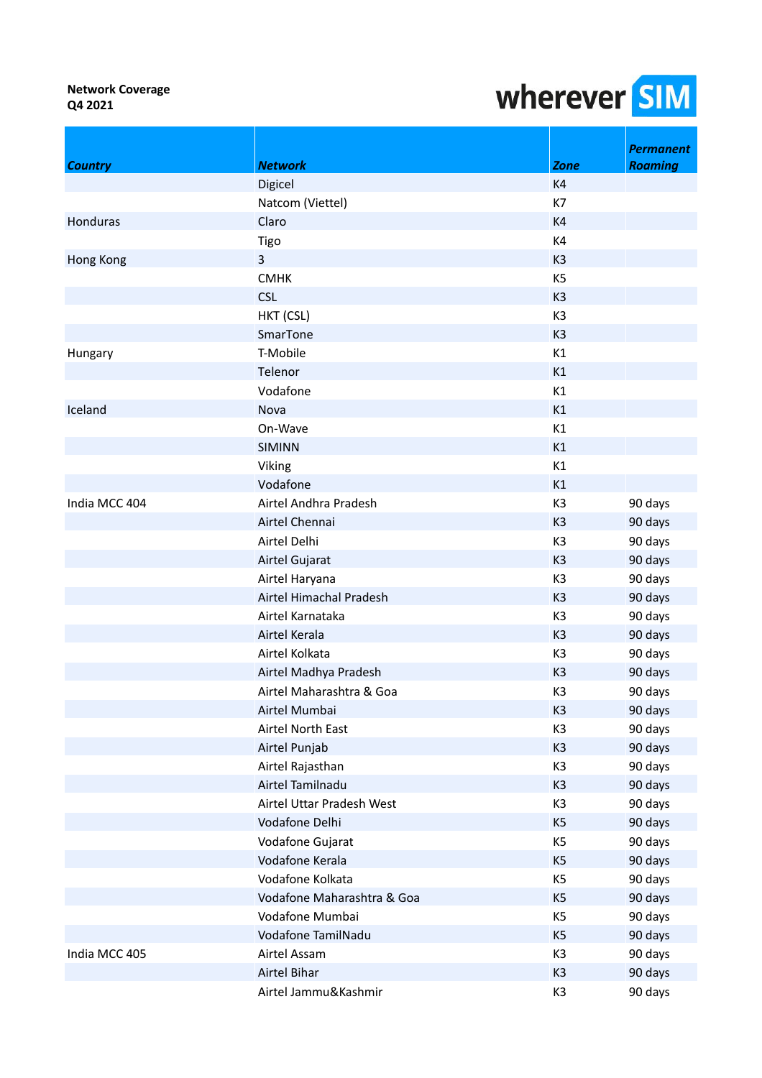|                 |                            |                | <b>Permanent</b> |
|-----------------|----------------------------|----------------|------------------|
| <b>Country</b>  | <b>Network</b>             | <b>Zone</b>    | <b>Roaming</b>   |
|                 | Digicel                    | K4             |                  |
|                 | Natcom (Viettel)           | K7             |                  |
| <b>Honduras</b> | Claro                      | K4             |                  |
|                 | Tigo                       | K4             |                  |
| Hong Kong       | $\overline{3}$             | K <sub>3</sub> |                  |
|                 | <b>CMHK</b>                | K <sub>5</sub> |                  |
|                 | <b>CSL</b>                 | K <sub>3</sub> |                  |
|                 | HKT (CSL)                  | K3             |                  |
|                 | SmarTone                   | K <sub>3</sub> |                  |
| Hungary         | T-Mobile                   | K1             |                  |
|                 | Telenor                    | K1             |                  |
|                 | Vodafone                   | K1             |                  |
| Iceland         | Nova                       | K1             |                  |
|                 | On-Wave                    | K1             |                  |
|                 | <b>SIMINN</b>              | K1             |                  |
|                 | Viking                     | K1             |                  |
|                 | Vodafone                   | K1             |                  |
| India MCC 404   | Airtel Andhra Pradesh      | K <sub>3</sub> | 90 days          |
|                 | Airtel Chennai             | K <sub>3</sub> | 90 days          |
|                 | Airtel Delhi               | K3             | 90 days          |
|                 | Airtel Gujarat             | K <sub>3</sub> | 90 days          |
|                 | Airtel Haryana             | K <sub>3</sub> | 90 days          |
|                 | Airtel Himachal Pradesh    | K <sub>3</sub> | 90 days          |
|                 | Airtel Karnataka           | K <sub>3</sub> | 90 days          |
|                 | Airtel Kerala              | K <sub>3</sub> | 90 days          |
|                 | Airtel Kolkata             | K <sub>3</sub> | 90 days          |
|                 | Airtel Madhya Pradesh      | K <sub>3</sub> | 90 days          |
|                 | Airtel Maharashtra & Goa   | K <sub>3</sub> | 90 days          |
|                 | Airtel Mumbai              | K <sub>3</sub> | 90 days          |
|                 | Airtel North East          | K3             | 90 days          |
|                 | Airtel Punjab              | K <sub>3</sub> | 90 days          |
|                 | Airtel Rajasthan           | K3             | 90 days          |
|                 | Airtel Tamilnadu           | K <sub>3</sub> | 90 days          |
|                 | Airtel Uttar Pradesh West  | K <sub>3</sub> | 90 days          |
|                 | Vodafone Delhi             | K <sub>5</sub> | 90 days          |
|                 | Vodafone Gujarat           | K <sub>5</sub> | 90 days          |
|                 | Vodafone Kerala            | K <sub>5</sub> | 90 days          |
|                 | Vodafone Kolkata           | K <sub>5</sub> | 90 days          |
|                 | Vodafone Maharashtra & Goa | K <sub>5</sub> | 90 days          |
|                 | Vodafone Mumbai            | K <sub>5</sub> | 90 days          |
|                 | Vodafone TamilNadu         | K <sub>5</sub> | 90 days          |
| India MCC 405   | Airtel Assam               | K3             | 90 days          |
|                 | Airtel Bihar               | K <sub>3</sub> | 90 days          |
|                 | Airtel Jammu&Kashmir       | K3             | 90 days          |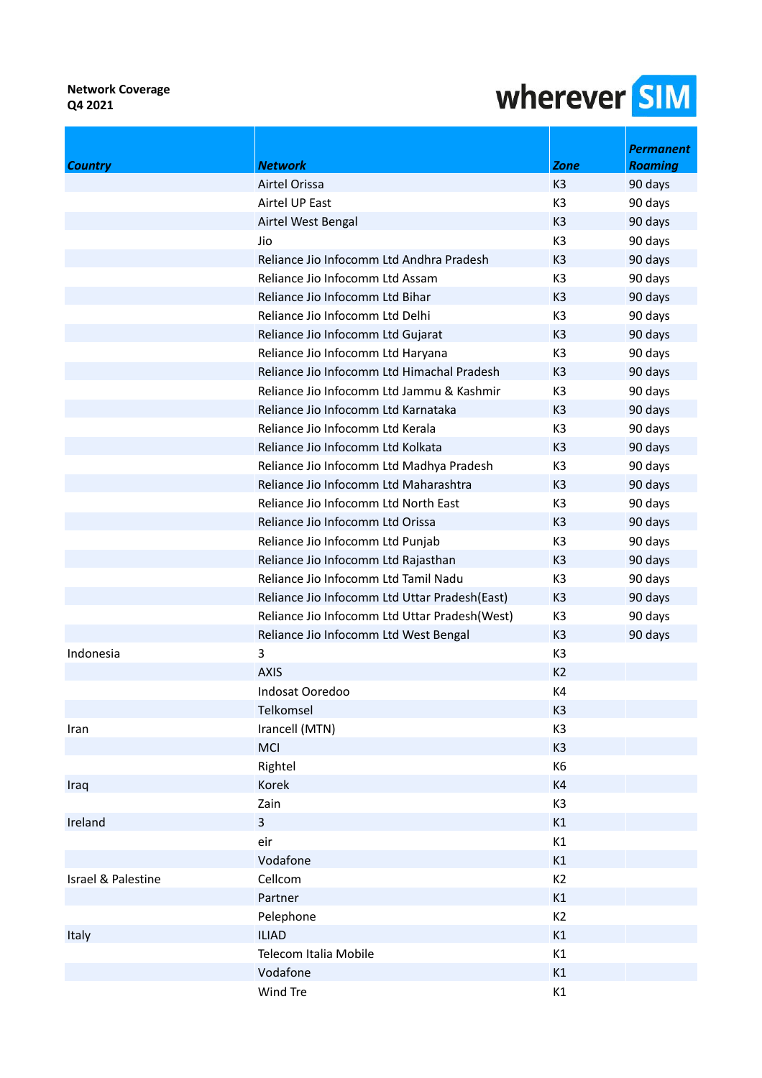| <b>Country</b>     | <b>Network</b>                                | <b>Zone</b>    | <b>Permanent</b><br><b>Roaming</b> |
|--------------------|-----------------------------------------------|----------------|------------------------------------|
|                    | Airtel Orissa                                 | K <sub>3</sub> | 90 days                            |
|                    | Airtel UP East                                | K <sub>3</sub> | 90 days                            |
|                    | Airtel West Bengal                            | K <sub>3</sub> | 90 days                            |
|                    | Jio                                           | K <sub>3</sub> | 90 days                            |
|                    | Reliance Jio Infocomm Ltd Andhra Pradesh      | K <sub>3</sub> | 90 days                            |
|                    | Reliance Jio Infocomm Ltd Assam               | K <sub>3</sub> | 90 days                            |
|                    | Reliance Jio Infocomm Ltd Bihar               | K <sub>3</sub> | 90 days                            |
|                    | Reliance Jio Infocomm Ltd Delhi               | K <sub>3</sub> | 90 days                            |
|                    | Reliance Jio Infocomm Ltd Gujarat             | K <sub>3</sub> | 90 days                            |
|                    | Reliance Jio Infocomm Ltd Haryana             | K <sub>3</sub> | 90 days                            |
|                    | Reliance Jio Infocomm Ltd Himachal Pradesh    | K <sub>3</sub> | 90 days                            |
|                    | Reliance Jio Infocomm Ltd Jammu & Kashmir     | K <sub>3</sub> | 90 days                            |
|                    | Reliance Jio Infocomm Ltd Karnataka           | K <sub>3</sub> | 90 days                            |
|                    | Reliance Jio Infocomm Ltd Kerala              | K <sub>3</sub> |                                    |
|                    |                                               |                | 90 days                            |
|                    | Reliance Jio Infocomm Ltd Kolkata             | K <sub>3</sub> | 90 days                            |
|                    | Reliance Jio Infocomm Ltd Madhya Pradesh      | K <sub>3</sub> | 90 days                            |
|                    | Reliance Jio Infocomm Ltd Maharashtra         | K <sub>3</sub> | 90 days                            |
|                    | Reliance Jio Infocomm Ltd North East          | K <sub>3</sub> | 90 days                            |
|                    | Reliance Jio Infocomm Ltd Orissa              | K3             | 90 days                            |
|                    | Reliance Jio Infocomm Ltd Punjab              | K <sub>3</sub> | 90 days                            |
|                    | Reliance Jio Infocomm Ltd Rajasthan           | K <sub>3</sub> | 90 days                            |
|                    | Reliance Jio Infocomm Ltd Tamil Nadu          | K <sub>3</sub> | 90 days                            |
|                    | Reliance Jio Infocomm Ltd Uttar Pradesh(East) | K <sub>3</sub> | 90 days                            |
|                    | Reliance Jio Infocomm Ltd Uttar Pradesh(West) | K <sub>3</sub> | 90 days                            |
|                    | Reliance Jio Infocomm Ltd West Bengal         | K <sub>3</sub> | 90 days                            |
| Indonesia          | 3                                             | K <sub>3</sub> |                                    |
|                    | <b>AXIS</b>                                   | K <sub>2</sub> |                                    |
|                    | Indosat Ooredoo                               | K4             |                                    |
|                    | Telkomsel                                     | K <sub>3</sub> |                                    |
| Iran               | Irancell (MTN)                                | K3             |                                    |
|                    | MCI                                           | K <sub>3</sub> |                                    |
|                    | Rightel                                       | K6             |                                    |
| Iraq               | Korek                                         | K4             |                                    |
|                    | Zain                                          | K <sub>3</sub> |                                    |
| Ireland            | $\overline{3}$                                | K1             |                                    |
|                    | eir                                           | K1             |                                    |
|                    | Vodafone                                      | K1             |                                    |
| Israel & Palestine | Cellcom                                       | K <sub>2</sub> |                                    |
|                    | Partner                                       | K1             |                                    |
|                    | Pelephone                                     | K <sub>2</sub> |                                    |
| Italy              | <b>ILIAD</b>                                  | K1             |                                    |
|                    | Telecom Italia Mobile                         | K1             |                                    |
|                    | Vodafone                                      | K1             |                                    |
|                    | Wind Tre                                      | K1             |                                    |
|                    |                                               |                |                                    |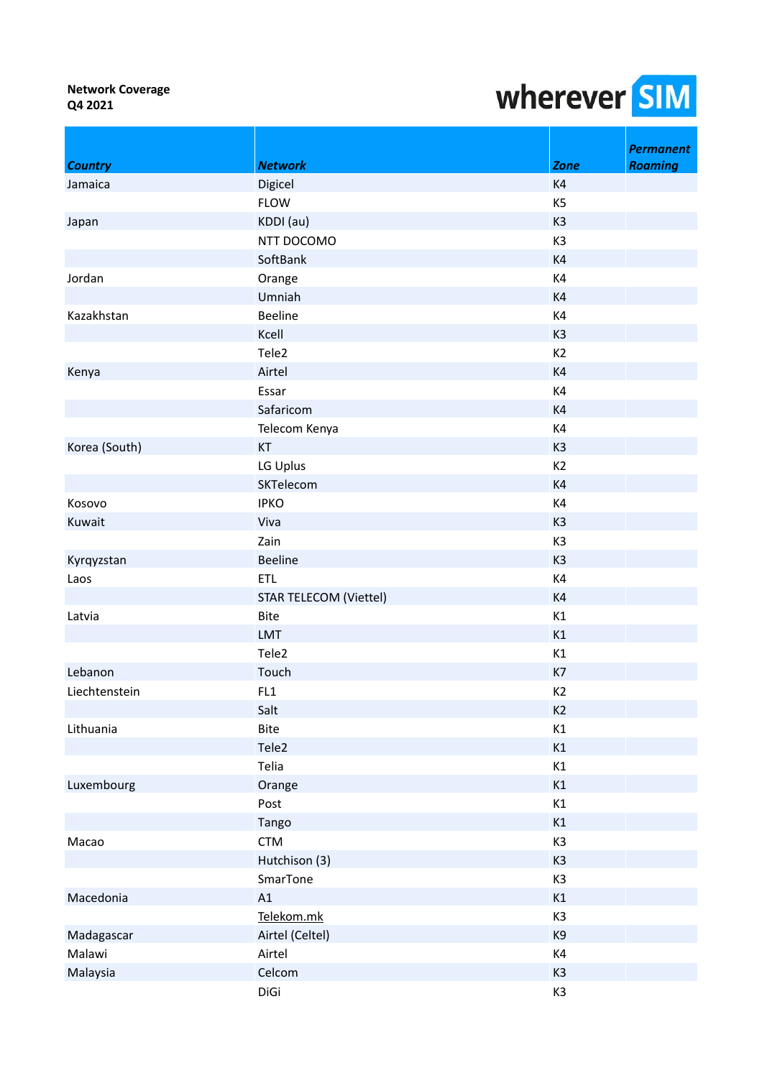|                |                               |                | <b>Permanent</b> |
|----------------|-------------------------------|----------------|------------------|
| <b>Country</b> | <b>Network</b>                | <b>Zone</b>    | <b>Roaming</b>   |
| Jamaica        | Digicel                       | K4             |                  |
|                | <b>FLOW</b>                   | K <sub>5</sub> |                  |
| Japan          | KDDI (au)                     | K <sub>3</sub> |                  |
|                | NTT DOCOMO                    | K3             |                  |
|                | SoftBank                      | K4             |                  |
| Jordan         | Orange                        | K4             |                  |
|                | Umniah                        | K4             |                  |
| Kazakhstan     | <b>Beeline</b>                | K4             |                  |
|                | Kcell                         | K <sub>3</sub> |                  |
|                | Tele2                         | K2             |                  |
| Kenya          | Airtel                        | K4             |                  |
|                | Essar                         | K4             |                  |
|                | Safaricom                     | K4             |                  |
|                | Telecom Kenya                 | K4             |                  |
| Korea (South)  | KT                            | K <sub>3</sub> |                  |
|                | LG Uplus                      | K <sub>2</sub> |                  |
|                | SKTelecom                     | K4             |                  |
| Kosovo         | <b>IPKO</b>                   | K4             |                  |
| Kuwait         | Viva                          | K <sub>3</sub> |                  |
|                | Zain                          | K <sub>3</sub> |                  |
| Kyrqyzstan     | <b>Beeline</b>                | K <sub>3</sub> |                  |
| Laos           | <b>ETL</b>                    | K4             |                  |
|                | <b>STAR TELECOM (Viettel)</b> | K4             |                  |
| Latvia         | <b>Bite</b>                   | K1             |                  |
|                | LMT                           | K1             |                  |
|                | Tele <sub>2</sub>             | K1             |                  |
| Lebanon        | Touch                         | K7             |                  |
| Liechtenstein  | FL1                           | K <sub>2</sub> |                  |
|                | Salt                          | K2             |                  |
| Lithuania      | <b>Bite</b>                   | K1             |                  |
|                | Tele2                         | K1             |                  |
|                | Telia                         | K1             |                  |
| Luxembourg     | Orange                        | K1             |                  |
|                | Post                          | K1             |                  |
|                | Tango                         | K1             |                  |
| Macao          | <b>CTM</b>                    | K <sub>3</sub> |                  |
|                | Hutchison (3)                 | K <sub>3</sub> |                  |
|                | SmarTone                      | K <sub>3</sub> |                  |
| Macedonia      | A1                            | K1             |                  |
|                | Telekom.mk                    | K <sub>3</sub> |                  |
| Madagascar     | Airtel (Celtel)               | K9             |                  |
| Malawi         | Airtel                        | K4             |                  |
| Malaysia       | Celcom                        | K <sub>3</sub> |                  |
|                | DiGi                          | K3             |                  |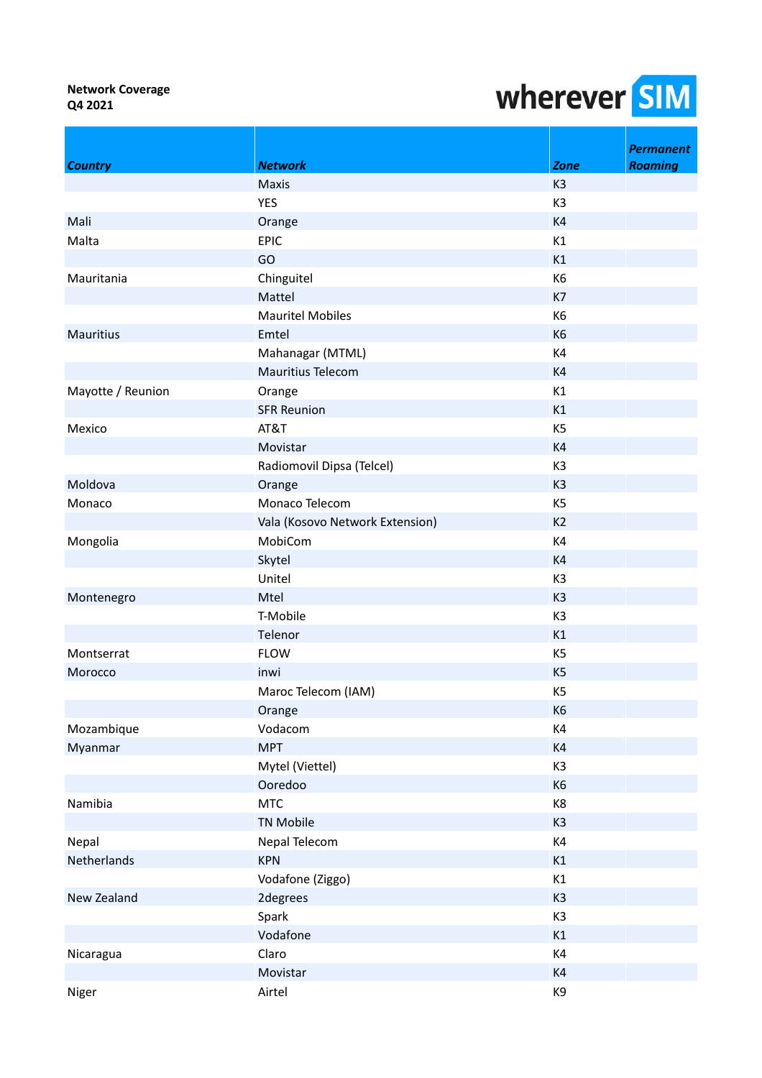|                   |                                 |                | <b>Permanent</b> |
|-------------------|---------------------------------|----------------|------------------|
| <b>Country</b>    | <b>Network</b>                  | Zone           | <b>Roaming</b>   |
|                   | Maxis                           | K <sub>3</sub> |                  |
|                   | <b>YES</b>                      | K <sub>3</sub> |                  |
| Mali              | Orange                          | K4             |                  |
| Malta             | <b>EPIC</b>                     | K1             |                  |
|                   | GO                              | K1             |                  |
| Mauritania        | Chinguitel                      | K6             |                  |
|                   | Mattel                          | K7             |                  |
|                   | <b>Mauritel Mobiles</b>         | K6             |                  |
| <b>Mauritius</b>  | Emtel                           | K <sub>6</sub> |                  |
|                   | Mahanagar (MTML)                | K4             |                  |
|                   | Mauritius Telecom               | K4             |                  |
| Mayotte / Reunion | Orange                          | K1             |                  |
|                   | <b>SFR Reunion</b>              | K1             |                  |
| Mexico            | AT&T                            | K <sub>5</sub> |                  |
|                   | Movistar                        | K4             |                  |
|                   | Radiomovil Dipsa (Telcel)       | K <sub>3</sub> |                  |
| Moldova           | Orange                          | K <sub>3</sub> |                  |
| Monaco            | Monaco Telecom                  | K <sub>5</sub> |                  |
|                   | Vala (Kosovo Network Extension) | K <sub>2</sub> |                  |
| Mongolia          | MobiCom                         | K4             |                  |
|                   | Skytel                          | K4             |                  |
|                   | Unitel                          | K <sub>3</sub> |                  |
| Montenegro        | Mtel                            | K <sub>3</sub> |                  |
|                   | T-Mobile                        | K <sub>3</sub> |                  |
|                   | Telenor                         | K1             |                  |
| Montserrat        | <b>FLOW</b>                     | K <sub>5</sub> |                  |
| Morocco           | inwi                            | K <sub>5</sub> |                  |
|                   | Maroc Telecom (IAM)             | K <sub>5</sub> |                  |
|                   | Orange                          | K <sub>6</sub> |                  |
| Mozambique        | Vodacom                         | K4             |                  |
| Myanmar           | <b>MPT</b>                      | K4             |                  |
|                   | Mytel (Viettel)                 | K <sub>3</sub> |                  |
|                   | Ooredoo                         | K <sub>6</sub> |                  |
| Namibia           | <b>MTC</b>                      | K8             |                  |
|                   | <b>TN Mobile</b>                | K <sub>3</sub> |                  |
| Nepal             | Nepal Telecom                   | K4             |                  |
| Netherlands       | <b>KPN</b>                      | K1             |                  |
|                   | Vodafone (Ziggo)                | K1             |                  |
| New Zealand       | 2degrees                        | K <sub>3</sub> |                  |
|                   | Spark                           | K <sub>3</sub> |                  |
|                   | Vodafone                        | K1             |                  |
| Nicaragua         | Claro                           | K4             |                  |
|                   | Movistar                        | K4             |                  |
| Niger             | Airtel                          | K9             |                  |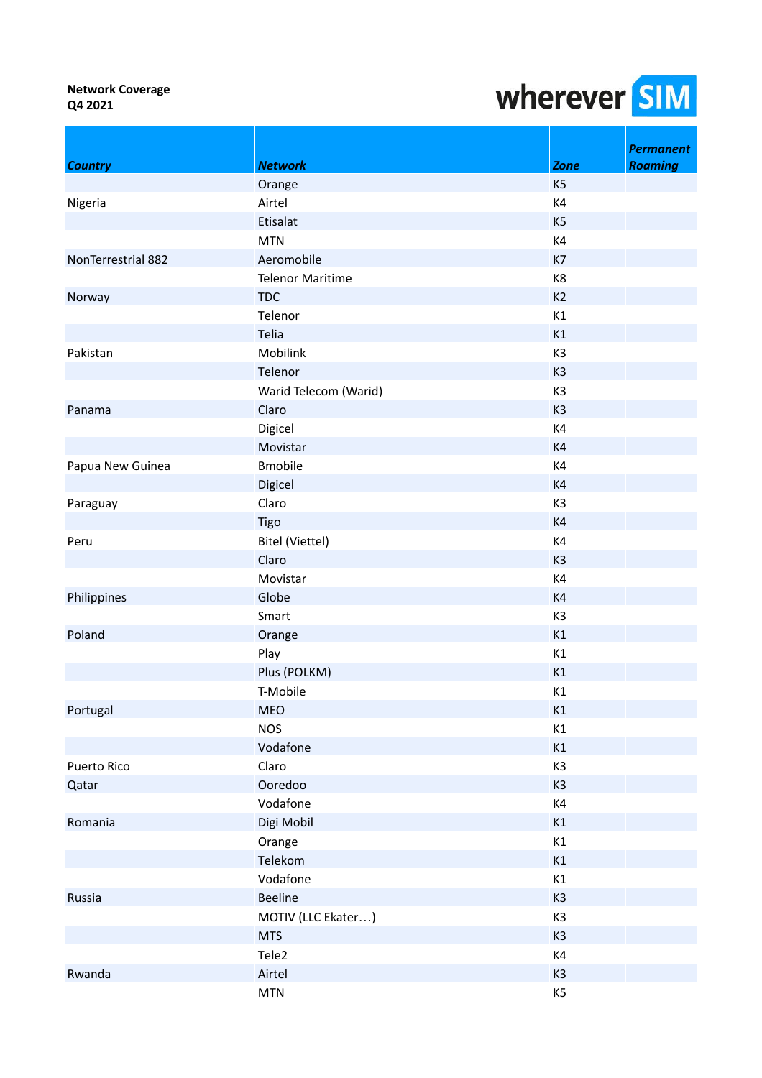|                    |                         |                | <b>Permanent</b> |
|--------------------|-------------------------|----------------|------------------|
| <b>Country</b>     | <b>Network</b>          | <b>Zone</b>    | <b>Roaming</b>   |
|                    | Orange                  | K <sub>5</sub> |                  |
| Nigeria            | Airtel                  | K4             |                  |
|                    | Etisalat                | K <sub>5</sub> |                  |
|                    | <b>MTN</b>              | K4             |                  |
| NonTerrestrial 882 | Aeromobile              | K7             |                  |
|                    | <b>Telenor Maritime</b> | K8             |                  |
| Norway             | <b>TDC</b>              | K <sub>2</sub> |                  |
|                    | Telenor                 | K1             |                  |
|                    | Telia                   | K1             |                  |
| Pakistan           | Mobilink                | K <sub>3</sub> |                  |
|                    | Telenor                 | K <sub>3</sub> |                  |
|                    | Warid Telecom (Warid)   | K3             |                  |
| Panama             | Claro                   | K <sub>3</sub> |                  |
|                    | Digicel                 | K4             |                  |
|                    | Movistar                | K4             |                  |
| Papua New Guinea   | <b>Bmobile</b>          | K4             |                  |
|                    | Digicel                 | K4             |                  |
| Paraguay           | Claro                   | K <sub>3</sub> |                  |
|                    | Tigo                    | K4             |                  |
| Peru               | Bitel (Viettel)         | K4             |                  |
|                    | Claro                   | K <sub>3</sub> |                  |
|                    | Movistar                | K4             |                  |
| Philippines        | Globe                   | K4             |                  |
|                    | Smart                   | K3             |                  |
| Poland             | Orange                  | K1             |                  |
|                    | Play                    | K1             |                  |
|                    | Plus (POLKM)            | K1             |                  |
|                    | T-Mobile                | K1             |                  |
| Portugal           | <b>MEO</b>              | K1             |                  |
|                    | <b>NOS</b>              | K1             |                  |
|                    | Vodafone                | K1             |                  |
| <b>Puerto Rico</b> | Claro                   | K3             |                  |
| Qatar              | Ooredoo                 | K <sub>3</sub> |                  |
|                    | Vodafone                | K4             |                  |
| Romania            | Digi Mobil              | K1             |                  |
|                    | Orange                  | K1             |                  |
|                    | Telekom                 | K1             |                  |
|                    | Vodafone                | K1             |                  |
| Russia             | <b>Beeline</b>          | K <sub>3</sub> |                  |
|                    | MOTIV (LLC Ekater)      | K <sub>3</sub> |                  |
|                    | <b>MTS</b>              | K <sub>3</sub> |                  |
|                    | Tele <sub>2</sub>       | K4             |                  |
| Rwanda             | Airtel                  | K <sub>3</sub> |                  |
|                    | <b>MTN</b>              | K <sub>5</sub> |                  |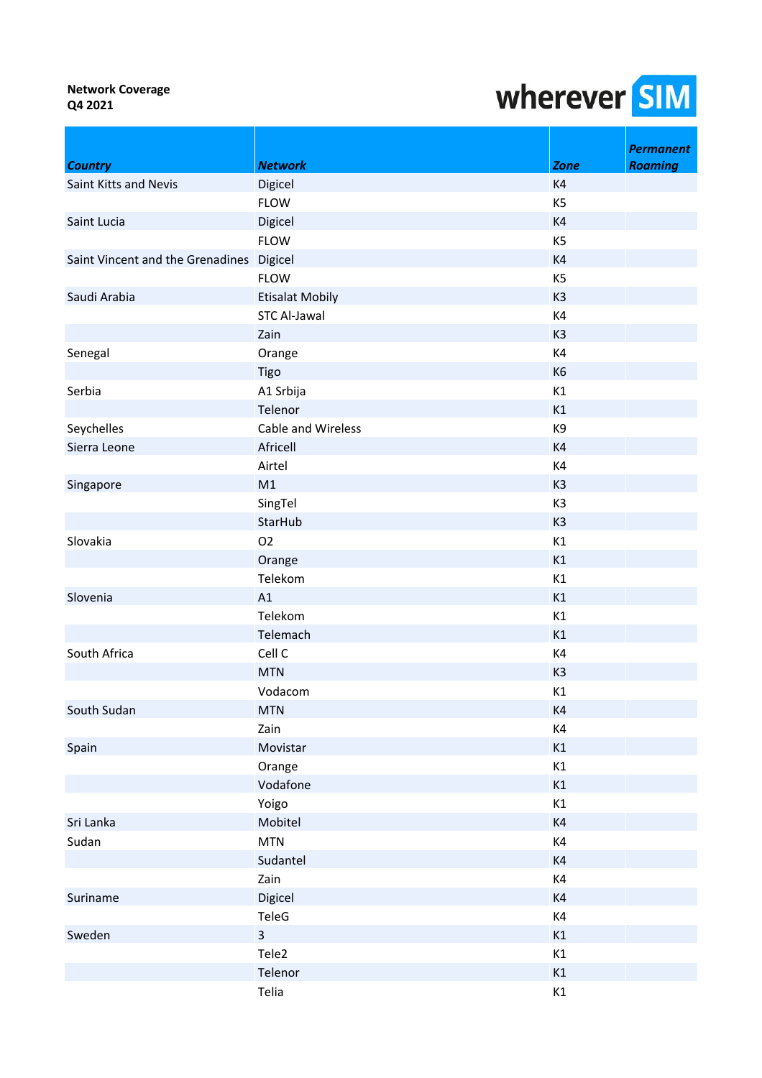|                                          |                        |                | <b>Permanent</b> |
|------------------------------------------|------------------------|----------------|------------------|
| <b>Country</b>                           | <b>Network</b>         | <b>Zone</b>    | <b>Roaming</b>   |
| Saint Kitts and Nevis                    | Digicel                | K <sub>4</sub> |                  |
|                                          | <b>FLOW</b>            | K <sub>5</sub> |                  |
| Saint Lucia                              | Digicel                | K4             |                  |
|                                          | <b>FLOW</b>            | K <sub>5</sub> |                  |
| Saint Vincent and the Grenadines Digicel |                        | K4             |                  |
|                                          | <b>FLOW</b>            | K <sub>5</sub> |                  |
| Saudi Arabia                             | <b>Etisalat Mobily</b> | K <sub>3</sub> |                  |
|                                          | <b>STC Al-Jawal</b>    | K4             |                  |
|                                          | Zain                   | K <sub>3</sub> |                  |
| Senegal                                  | Orange                 | K4             |                  |
|                                          | Tigo                   | K <sub>6</sub> |                  |
| Serbia                                   | A1 Srbija              | K1             |                  |
|                                          | Telenor                | K1             |                  |
| Seychelles                               | Cable and Wireless     | K9             |                  |
| Sierra Leone                             | Africell               | K4             |                  |
|                                          | Airtel                 | K4             |                  |
| Singapore                                | M1                     | K <sub>3</sub> |                  |
|                                          | SingTel                | K3             |                  |
|                                          | StarHub                | K <sub>3</sub> |                  |
| Slovakia                                 | O <sub>2</sub>         | K1             |                  |
|                                          | Orange                 | K1             |                  |
|                                          | Telekom                | K1             |                  |
| Slovenia                                 | A1                     | K1             |                  |
|                                          | Telekom                | K1             |                  |
|                                          | Telemach               | K1             |                  |
| South Africa                             | Cell C                 | K4             |                  |
|                                          | <b>MTN</b>             | K <sub>3</sub> |                  |
|                                          | Vodacom                | K1             |                  |
| South Sudan                              | <b>MTN</b>             | K4             |                  |
|                                          | Zain                   | K4             |                  |
| Spain                                    | Movistar               | K1             |                  |
|                                          | Orange                 | K1             |                  |
|                                          | Vodafone               | K1             |                  |
|                                          | Yoigo                  | K1             |                  |
| Sri Lanka                                | Mobitel                | K4             |                  |
| Sudan                                    | <b>MTN</b>             | K4             |                  |
|                                          | Sudantel               | K4             |                  |
|                                          | Zain                   | K4             |                  |
| Suriname                                 | Digicel                | K4             |                  |
|                                          | TeleG                  | K4             |                  |
| Sweden                                   | $\overline{3}$         | K1             |                  |
|                                          | Tele2                  | K1             |                  |
|                                          | Telenor                | K1             |                  |
|                                          | Telia                  | K1             |                  |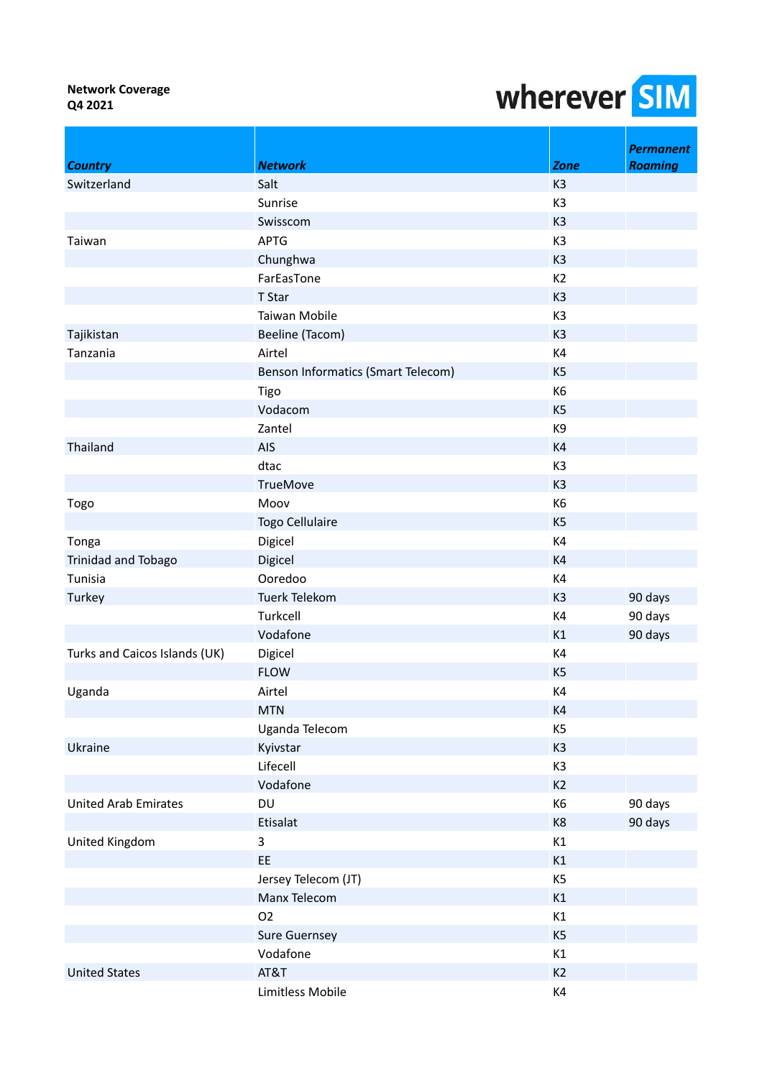|                               |                                    |                | <b>Permanent</b> |
|-------------------------------|------------------------------------|----------------|------------------|
| <b>Country</b>                | <b>Network</b>                     | <b>Zone</b>    | <b>Roaming</b>   |
| Switzerland                   | Salt                               | K <sub>3</sub> |                  |
|                               | Sunrise                            | K <sub>3</sub> |                  |
|                               | Swisscom                           | K <sub>3</sub> |                  |
| Taiwan                        | <b>APTG</b>                        | K <sub>3</sub> |                  |
|                               | Chunghwa                           | K <sub>3</sub> |                  |
|                               | FarEasTone                         | K <sub>2</sub> |                  |
|                               | T Star                             | K <sub>3</sub> |                  |
|                               | Taiwan Mobile                      | K <sub>3</sub> |                  |
| Tajikistan                    | Beeline (Tacom)                    | K <sub>3</sub> |                  |
| Tanzania                      | Airtel                             | K4             |                  |
|                               | Benson Informatics (Smart Telecom) | K <sub>5</sub> |                  |
|                               | Tigo                               | K <sub>6</sub> |                  |
|                               | Vodacom                            | K <sub>5</sub> |                  |
|                               | Zantel                             | K9             |                  |
| Thailand                      | AIS                                | K4             |                  |
|                               | dtac                               | K3             |                  |
|                               | <b>TrueMove</b>                    | K <sub>3</sub> |                  |
| Togo                          | Moov                               | K <sub>6</sub> |                  |
|                               | Togo Cellulaire                    | K <sub>5</sub> |                  |
| Tonga                         | Digicel                            | K4             |                  |
| Trinidad and Tobago           | Digicel                            | K4             |                  |
| Tunisia                       | Ooredoo                            | K4             |                  |
| Turkey                        | <b>Tuerk Telekom</b>               | K <sub>3</sub> | 90 days          |
|                               | Turkcell                           | K4             | 90 days          |
|                               | Vodafone                           | K1             | 90 days          |
| Turks and Caicos Islands (UK) | Digicel                            | K4             |                  |
|                               | <b>FLOW</b>                        | K <sub>5</sub> |                  |
| Uganda                        | Airtel                             | K4             |                  |
|                               | <b>MTN</b>                         | K4             |                  |
|                               | Uganda Telecom                     | K <sub>5</sub> |                  |
| Ukraine                       | Kyivstar                           | K <sub>3</sub> |                  |
|                               | Lifecell                           | K3             |                  |
|                               | Vodafone                           | K2             |                  |
| <b>United Arab Emirates</b>   | DU                                 | K6             | 90 days          |
|                               | Etisalat                           | K8             | 90 days          |
| United Kingdom                | 3                                  | K1             |                  |
|                               | EE                                 | K1             |                  |
|                               | Jersey Telecom (JT)                | K5             |                  |
|                               | Manx Telecom                       | K1             |                  |
|                               | O <sub>2</sub>                     | K1             |                  |
|                               | <b>Sure Guernsey</b>               | K <sub>5</sub> |                  |
|                               | Vodafone                           | K1             |                  |
| <b>United States</b>          | AT&T                               | K2             |                  |
|                               | Limitless Mobile                   | K4             |                  |